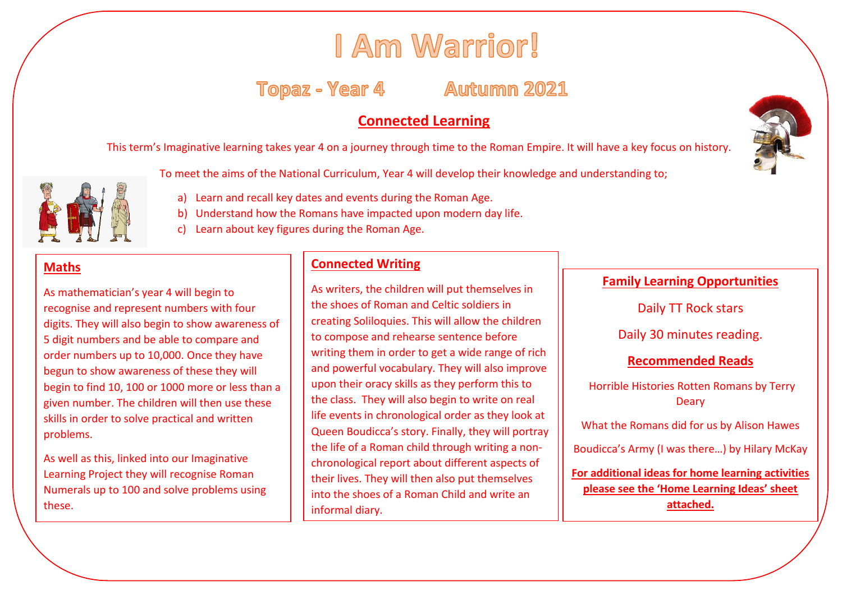# I Am Warrior!

## Topaz - Year 4 Autumn 2021

### **Connected Learning**

This term's Imaginative learning takes year 4 on a journey through time to the Roman Empire. It will have a key focus on history.



- To meet the aims of the National Curriculum, Year 4 will develop their knowledge and understanding to;
	- a) Learn and recall key dates and events during the Roman Age.
	- b) Understand how the Romans have impacted upon modern day life.
	- c) Learn about key figures during the Roman Age.

#### **Maths**

As mathematician's year 4 will begin to recognise and represent numbers with four digits. They will also begin to show awareness of 5 digit numbers and be able to compare and order numbers up to 10,000. Once they have begun to show awareness of these they will begin to find 10, 100 or 1000 more or less than a given number. The children will then use these skills in order to solve practical and written ;problems.

As well as this, linked into our Imaginative Learning Project they will recognise Roman Numerals up to 100 and solve problems using these.

#### **Connected Writing**

As writers, the children will put themselves in the shoes of Roman and Celtic soldiers in creating Soliloquies. This will allow the children to compose and rehearse sentence before writing them in order to get a wide range of rich and powerful vocabulary. They will also improve upon their oracy skills as they perform this to the class. They will also begin to write on real life events in chronological order as they look at Queen Boudicca's story. Finally, they will portray the life of a Roman child through writing a nonchronological report about different aspects of their lives. They will then also put themselves into the shoes of a Roman Child and write an informal diary.



#### **Family Learning Opportunities**

Daily TT Rock stars Daily 30 minutes reading.

#### **Recommended Reads**

Horrible Histories Rotten Romans by Terry **Deary** 

What the Romans did for us by Alison Hawes

Boudicca's Army (I was there…) by Hilary McKay

**For additional ideas for home learning activities please see the 'Home Learning Ideas' sheet attached.**